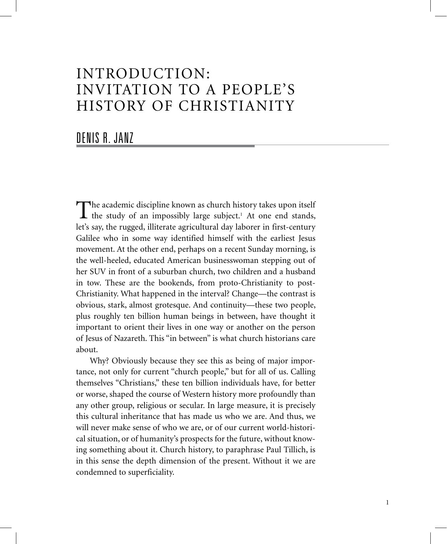# INTRODUCTION: INVITATION TO A PEOPLE'S HISTORY OF CHRISTIANITY

# DENIS R. JANZ

The academic discipline known as church history takes upon itself the study of an impossibly large subject.<sup>1</sup> At one end stands, let's say, the rugged, illiterate agricultural day laborer in first-century Galilee who in some way identified himself with the earliest Jesus movement. At the other end, perhaps on a recent Sunday morning, is the well-heeled, educated American businesswoman stepping out of her SUV in front of a suburban church, two children and a husband in tow. These are the bookends, from proto-Christianity to post-Christianity. What happened in the interval? Change—the contrast is obvious, stark, almost grotesque. And continuity—these two people, plus roughly ten billion human beings in between, have thought it important to orient their lives in one way or another on the person of Jesus of Nazareth. This "in between" is what church historians care about.

Why? Obviously because they see this as being of major importance, not only for current "church people," but for all of us. Calling themselves "Christians," these ten billion individuals have, for better or worse, shaped the course of Western history more profoundly than any other group, religious or secular. In large measure, it is precisely this cultural inheritance that has made us who we are. And thus, we will never make sense of who we are, or of our current world-historical situation, or of humanity's prospects for the future, without knowing something about it. Church history, to paraphrase Paul Tillich, is in this sense the depth dimension of the present. Without it we are condemned to superficiality.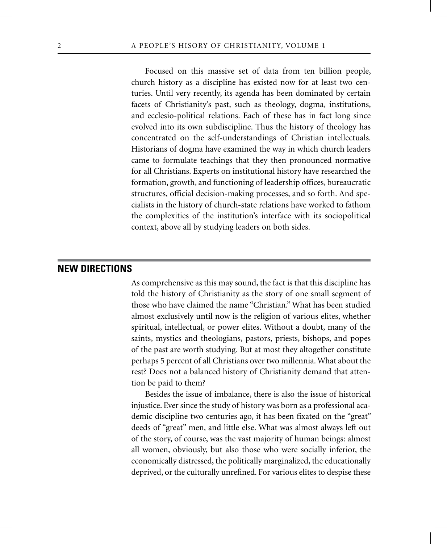Focused on this massive set of data from ten billion people, church history as a discipline has existed now for at least two centuries. Until very recently, its agenda has been dominated by certain facets of Christianity's past, such as theology, dogma, institutions, and ecclesio-political relations. Each of these has in fact long since evolved into its own subdiscipline. Thus the history of theology has concentrated on the self-understandings of Christian intellectuals. Historians of dogma have examined the way in which church leaders came to formulate teachings that they then pronounced normative for all Christians. Experts on institutional history have researched the formation, growth, and functioning of leadership offices, bureaucratic structures, official decision-making processes, and so forth. And specialists in the history of church-state relations have worked to fathom the complexities of the institution's interface with its sociopolitical context, above all by studying leaders on both sides.

#### **NEW DIRECTIONS**

As comprehensive as this may sound, the fact is that this discipline has told the history of Christianity as the story of one small segment of those who have claimed the name "Christian." What has been studied almost exclusively until now is the religion of various elites, whether spiritual, intellectual, or power elites. Without a doubt, many of the saints, mystics and theologians, pastors, priests, bishops, and popes of the past are worth studying. But at most they altogether constitute perhaps 5 percent of all Christians over two millennia. What about the rest? Does not a balanced history of Christianity demand that attention be paid to them?

Besides the issue of imbalance, there is also the issue of historical injustice. Ever since the study of history was born as a professional academic discipline two centuries ago, it has been fixated on the "great" deeds of "great" men, and little else. What was almost always left out of the story, of course, was the vast majority of human beings: almost all women, obviously, but also those who were socially inferior, the economically distressed, the politically marginalized, the educationally deprived, or the culturally unrefined. For various elites to despise these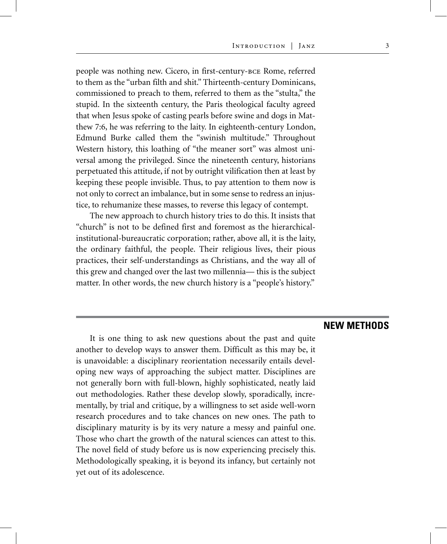people was nothing new. Cicero, in first-century-bce Rome, referred to them as the "urban filth and shit." Thirteenth-century Dominicans, commissioned to preach to them, referred to them as the "stulta," the stupid. In the sixteenth century, the Paris theological faculty agreed that when Jesus spoke of casting pearls before swine and dogs in Matthew 7:6, he was referring to the laity. In eighteenth-century London, Edmund Burke called them the "swinish multitude." Throughout Western history, this loathing of "the meaner sort" was almost universal among the privileged. Since the nineteenth century, historians perpetuated this attitude, if not by outright vilification then at least by keeping these people invisible. Thus, to pay attention to them now is not only to correct an imbalance, but in some sense to redress an injustice, to rehumanize these masses, to reverse this legacy of contempt.

The new approach to church history tries to do this. It insists that "church" is not to be defined first and foremost as the hierarchicalinstitutional-bureaucratic corporation; rather, above all, it is the laity, the ordinary faithful, the people. Their religious lives, their pious practices, their self-understandings as Christians, and the way all of this grew and changed over the last two millennia— this is the subject matter. In other words, the new church history is a "people's history."

## **NEW METHODS**

It is one thing to ask new questions about the past and quite another to develop ways to answer them. Difficult as this may be, it is unavoidable: a disciplinary reorientation necessarily entails developing new ways of approaching the subject matter. Disciplines are not generally born with full-blown, highly sophisticated, neatly laid out methodologies. Rather these develop slowly, sporadically, incrementally, by trial and critique, by a willingness to set aside well-worn research procedures and to take chances on new ones. The path to disciplinary maturity is by its very nature a messy and painful one. Those who chart the growth of the natural sciences can attest to this. The novel field of study before us is now experiencing precisely this. Methodologically speaking, it is beyond its infancy, but certainly not yet out of its adolescence.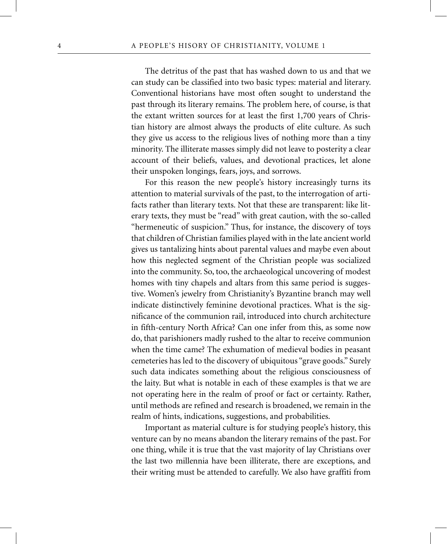The detritus of the past that has washed down to us and that we can study can be classified into two basic types: material and literary. Conventional historians have most often sought to understand the past through its literary remains. The problem here, of course, is that the extant written sources for at least the first 1,700 years of Christian history are almost always the products of elite culture. As such they give us access to the religious lives of nothing more than a tiny minority. The illiterate masses simply did not leave to posterity a clear account of their beliefs, values, and devotional practices, let alone their unspoken longings, fears, joys, and sorrows.

For this reason the new people's history increasingly turns its attention to material survivals of the past, to the interrogation of artifacts rather than literary texts. Not that these are transparent: like literary texts, they must be "read" with great caution, with the so-called "hermeneutic of suspicion." Thus, for instance, the discovery of toys that children of Christian families played with in the late ancient world gives us tantalizing hints about parental values and maybe even about how this neglected segment of the Christian people was socialized into the community. So, too, the archaeological uncovering of modest homes with tiny chapels and altars from this same period is suggestive. Women's jewelry from Christianity's Byzantine branch may well indicate distinctively feminine devotional practices. What is the significance of the communion rail, introduced into church architecture in fifth-century North Africa? Can one infer from this, as some now do, that parishioners madly rushed to the altar to receive communion when the time came? The exhumation of medieval bodies in peasant cemeteries has led to the discovery of ubiquitous "grave goods." Surely such data indicates something about the religious consciousness of the laity. But what is notable in each of these examples is that we are not operating here in the realm of proof or fact or certainty. Rather, until methods are refined and research is broadened, we remain in the realm of hints, indications, suggestions, and probabilities.

Important as material culture is for studying people's history, this venture can by no means abandon the literary remains of the past. For one thing, while it is true that the vast majority of lay Christians over the last two millennia have been illiterate, there are exceptions, and their writing must be attended to carefully. We also have graffiti from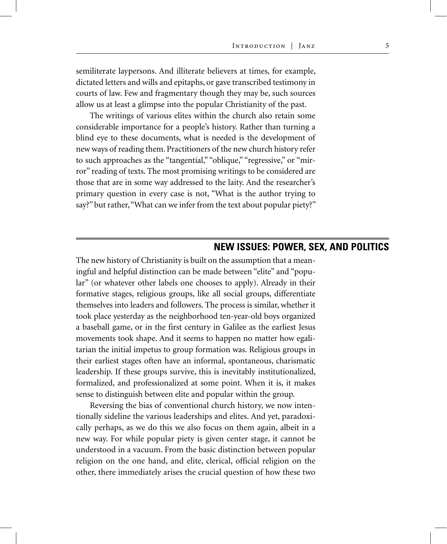semiliterate laypersons. And illiterate believers at times, for example, dictated letters and wills and epitaphs, or gave transcribed testimony in courts of law. Few and fragmentary though they may be, such sources allow us at least a glimpse into the popular Christianity of the past.

The writings of various elites within the church also retain some considerable importance for a people's history. Rather than turning a blind eye to these documents, what is needed is the development of new ways of reading them. Practitioners of the new church history refer to such approaches as the "tangential," "oblique," "regressive," or "mirror" reading of texts. The most promising writings to be considered are those that are in some way addressed to the laity. And the researcher's primary question in every case is not, "What is the author trying to say?" but rather, "What can we infer from the text about popular piety?"

## **NEW ISSUES: POWER, SEX, AND POLITICS**

The new history of Christianity is built on the assumption that a meaningful and helpful distinction can be made between "elite" and "popular" (or whatever other labels one chooses to apply). Already in their formative stages, religious groups, like all social groups, differentiate themselves into leaders and followers. The process is similar, whether it took place yesterday as the neighborhood ten-year-old boys organized a baseball game, or in the first century in Galilee as the earliest Jesus movements took shape. And it seems to happen no matter how egalitarian the initial impetus to group formation was. Religious groups in their earliest stages often have an informal, spontaneous, charismatic leadership. If these groups survive, this is inevitably institutionalized, formalized, and professionalized at some point. When it is, it makes sense to distinguish between elite and popular within the group.

Reversing the bias of conventional church history, we now intentionally sideline the various leaderships and elites. And yet, paradoxically perhaps, as we do this we also focus on them again, albeit in a new way. For while popular piety is given center stage, it cannot be understood in a vacuum. From the basic distinction between popular religion on the one hand, and elite, clerical, official religion on the other, there immediately arises the crucial question of how these two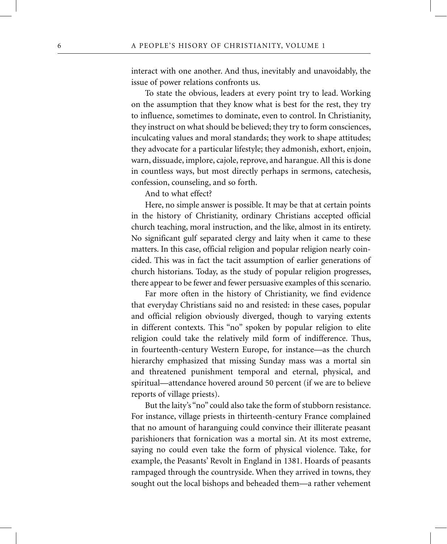interact with one another. And thus, inevitably and unavoidably, the issue of power relations confronts us.

To state the obvious, leaders at every point try to lead. Working on the assumption that they know what is best for the rest, they try to influence, sometimes to dominate, even to control. In Christianity, they instruct on what should be believed; they try to form consciences, inculcating values and moral standards; they work to shape attitudes; they advocate for a particular lifestyle; they admonish, exhort, enjoin, warn, dissuade, implore, cajole, reprove, and harangue. All this is done in countless ways, but most directly perhaps in sermons, catechesis, confession, counseling, and so forth.

And to what effect?

Here, no simple answer is possible. It may be that at certain points in the history of Christianity, ordinary Christians accepted official church teaching, moral instruction, and the like, almost in its entirety. No significant gulf separated clergy and laity when it came to these matters. In this case, official religion and popular religion nearly coincided. This was in fact the tacit assumption of earlier generations of church historians. Today, as the study of popular religion progresses, there appear to be fewer and fewer persuasive examples of this scenario.

Far more often in the history of Christianity, we find evidence that everyday Christians said no and resisted: in these cases, popular and official religion obviously diverged, though to varying extents in different contexts. This "no" spoken by popular religion to elite religion could take the relatively mild form of indifference. Thus, in fourteenth-century Western Europe, for instance—as the church hierarchy emphasized that missing Sunday mass was a mortal sin and threatened punishment temporal and eternal, physical, and spiritual—attendance hovered around 50 percent (if we are to believe reports of village priests).

But the laity's "no" could also take the form of stubborn resistance. For instance, village priests in thirteenth-century France complained that no amount of haranguing could convince their illiterate peasant parishioners that fornication was a mortal sin. At its most extreme, saying no could even take the form of physical violence. Take, for example, the Peasants' Revolt in England in 1381. Hoards of peasants rampaged through the countryside. When they arrived in towns, they sought out the local bishops and beheaded them—a rather vehement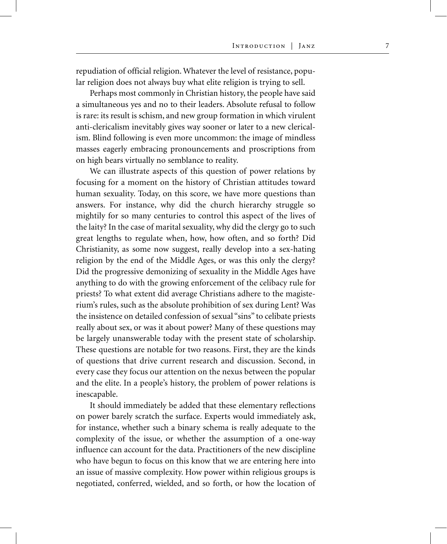repudiation of official religion. Whatever the level of resistance, popular religion does not always buy what elite religion is trying to sell.

Perhaps most commonly in Christian history, the people have said a simultaneous yes and no to their leaders. Absolute refusal to follow is rare: its result is schism, and new group formation in which virulent anti-clericalism inevitably gives way sooner or later to a new clericalism. Blind following is even more uncommon: the image of mindless masses eagerly embracing pronouncements and proscriptions from on high bears virtually no semblance to reality.

We can illustrate aspects of this question of power relations by focusing for a moment on the history of Christian attitudes toward human sexuality. Today, on this score, we have more questions than answers. For instance, why did the church hierarchy struggle so mightily for so many centuries to control this aspect of the lives of the laity? In the case of marital sexuality, why did the clergy go to such great lengths to regulate when, how, how often, and so forth? Did Christianity, as some now suggest, really develop into a sex-hating religion by the end of the Middle Ages, or was this only the clergy? Did the progressive demonizing of sexuality in the Middle Ages have anything to do with the growing enforcement of the celibacy rule for priests? To what extent did average Christians adhere to the magisterium's rules, such as the absolute prohibition of sex during Lent? Was the insistence on detailed confession of sexual "sins" to celibate priests really about sex, or was it about power? Many of these questions may be largely unanswerable today with the present state of scholarship. These questions are notable for two reasons. First, they are the kinds of questions that drive current research and discussion. Second, in every case they focus our attention on the nexus between the popular and the elite. In a people's history, the problem of power relations is inescapable.

It should immediately be added that these elementary reflections on power barely scratch the surface. Experts would immediately ask, for instance, whether such a binary schema is really adequate to the complexity of the issue, or whether the assumption of a one-way influence can account for the data. Practitioners of the new discipline who have begun to focus on this know that we are entering here into an issue of massive complexity. How power within religious groups is negotiated, conferred, wielded, and so forth, or how the location of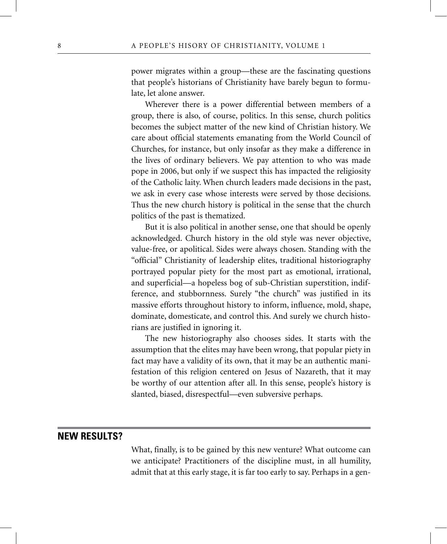power migrates within a group—these are the fascinating questions that people's historians of Christianity have barely begun to formulate, let alone answer.

Wherever there is a power differential between members of a group, there is also, of course, politics. In this sense, church politics becomes the subject matter of the new kind of Christian history. We care about official statements emanating from the World Council of Churches, for instance, but only insofar as they make a difference in the lives of ordinary believers. We pay attention to who was made pope in 2006, but only if we suspect this has impacted the religiosity of the Catholic laity. When church leaders made decisions in the past, we ask in every case whose interests were served by those decisions. Thus the new church history is political in the sense that the church politics of the past is thematized.

But it is also political in another sense, one that should be openly acknowledged. Church history in the old style was never objective, value-free, or apolitical. Sides were always chosen. Standing with the "official" Christianity of leadership elites, traditional historiography portrayed popular piety for the most part as emotional, irrational, and superficial—a hopeless bog of sub-Christian superstition, indifference, and stubbornness. Surely "the church" was justified in its massive efforts throughout history to inform, influence, mold, shape, dominate, domesticate, and control this. And surely we church historians are justified in ignoring it.

The new historiography also chooses sides. It starts with the assumption that the elites may have been wrong, that popular piety in fact may have a validity of its own, that it may be an authentic manifestation of this religion centered on Jesus of Nazareth, that it may be worthy of our attention after all. In this sense, people's history is slanted, biased, disrespectful—even subversive perhaps.

#### **NEW RESULTS?**

What, finally, is to be gained by this new venture? What outcome can we anticipate? Practitioners of the discipline must, in all humility, admit that at this early stage, it is far too early to say. Perhaps in a gen-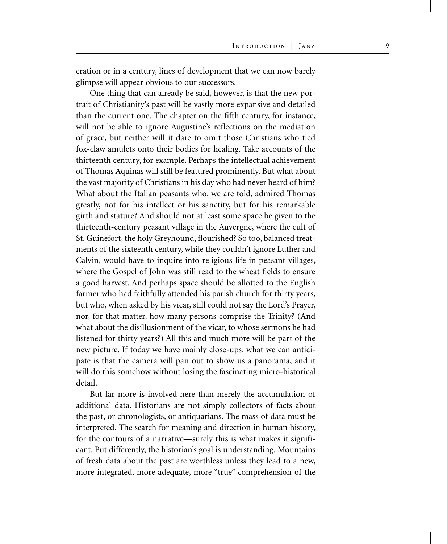eration or in a century, lines of development that we can now barely glimpse will appear obvious to our successors.

One thing that can already be said, however, is that the new portrait of Christianity's past will be vastly more expansive and detailed than the current one. The chapter on the fifth century, for instance, will not be able to ignore Augustine's reflections on the mediation of grace, but neither will it dare to omit those Christians who tied fox-claw amulets onto their bodies for healing. Take accounts of the thirteenth century, for example. Perhaps the intellectual achievement of Thomas Aquinas will still be featured prominently. But what about the vast majority of Christians in his day who had never heard of him? What about the Italian peasants who, we are told, admired Thomas greatly, not for his intellect or his sanctity, but for his remarkable girth and stature? And should not at least some space be given to the thirteenth-century peasant village in the Auvergne, where the cult of St. Guinefort, the holy Greyhound, flourished? So too, balanced treatments of the sixteenth century, while they couldn't ignore Luther and Calvin, would have to inquire into religious life in peasant villages, where the Gospel of John was still read to the wheat fields to ensure a good harvest. And perhaps space should be allotted to the English farmer who had faithfully attended his parish church for thirty years, but who, when asked by his vicar, still could not say the Lord's Prayer, nor, for that matter, how many persons comprise the Trinity? (And what about the disillusionment of the vicar, to whose sermons he had listened for thirty years?) All this and much more will be part of the new picture. If today we have mainly close-ups, what we can anticipate is that the camera will pan out to show us a panorama, and it will do this somehow without losing the fascinating micro-historical detail.

But far more is involved here than merely the accumulation of additional data. Historians are not simply collectors of facts about the past, or chronologists, or antiquarians. The mass of data must be interpreted. The search for meaning and direction in human history, for the contours of a narrative—surely this is what makes it significant. Put differently, the historian's goal is understanding. Mountains of fresh data about the past are worthless unless they lead to a new, more integrated, more adequate, more "true" comprehension of the